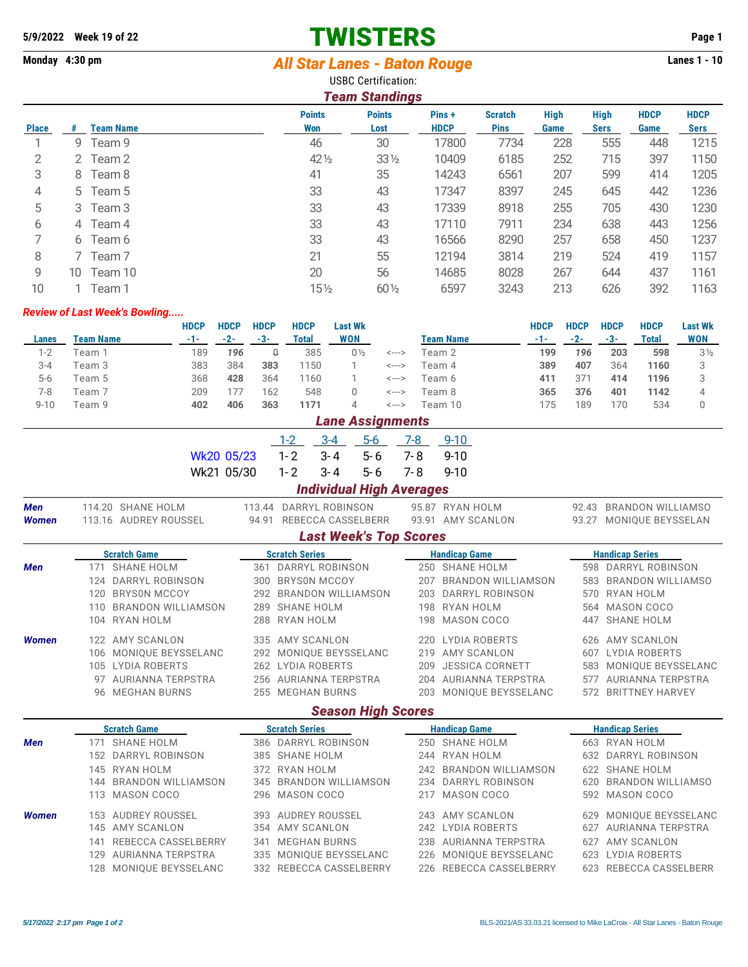## **5/9/2022 Week 19 of 22 TWISTERS Page 1**

## Monday 4:30 pm *All Star Lanes - Baton Rouge* **Lanes 1 - 10**

USBC Certification:

| <b>Team Standings</b> |    |                  |                      |                       |                      |                               |                     |                            |                     |                            |
|-----------------------|----|------------------|----------------------|-----------------------|----------------------|-------------------------------|---------------------|----------------------------|---------------------|----------------------------|
| <b>Place</b>          | #  | <b>Team Name</b> | <b>Points</b><br>Won | <b>Points</b><br>Lost | Pins+<br><b>HDCP</b> | <b>Scratch</b><br><b>Pins</b> | <b>High</b><br>Game | <b>High</b><br><b>Sers</b> | <b>HDCP</b><br>Game | <b>HDCP</b><br><b>Sers</b> |
|                       | 9  | Team 9           | 46                   | 30                    | 17800                | 7734                          | 228                 | 555                        | 448                 | 1215                       |
| 2                     |    | 2 Team 2         | $42\frac{1}{2}$      | $33\frac{1}{2}$       | 10409                | 6185                          | 252                 | 715                        | 397                 | 1150                       |
| 3                     |    | 8 Team 8         | 41                   | 35                    | 14243                | 6561                          | 207                 | 599                        | 414                 | 1205                       |
| 4                     |    | 5 Team 5         | 33                   | 43                    | 17347                | 8397                          | 245                 | 645                        | 442                 | 1236                       |
| 5                     |    | 3 Team 3         | 33                   | 43                    | 17339                | 8918                          | 255                 | 705                        | 430                 | 1230                       |
| 6                     |    | 4 Team 4         | 33                   | 43                    | 17110                | 7911                          | 234                 | 638                        | 443                 | 1256                       |
|                       | 6  | Team 6           | 33                   | 43                    | 16566                | 8290                          | 257                 | 658                        | 450                 | 1237                       |
| 8                     |    | Team 7           | 21                   | 55                    | 12194                | 3814                          | 219                 | 524                        | 419                 | 1157                       |
| 9                     | 10 | Team 10          | 20                   | 56                    | 14685                | 8028                          | 267                 | 644                        | 437                 | 1161                       |
| 10                    |    | Team 1           | $15\frac{1}{2}$      | $60\frac{1}{2}$       | 6597                 | 3243                          | 213                 | 626                        | 392                 | 1163                       |

## *Review of Last Week's Bowling.....*

|          |           | <b>HDCP</b> | <b>HDCP</b> | <b>HDCP</b> | <b>HDCP</b> | Last Wk        |       |           | HDCP  | <b>HDCP</b> | HDCP | <b>HDCP</b> | <b>Last Wk</b> |
|----------|-----------|-------------|-------------|-------------|-------------|----------------|-------|-----------|-------|-------------|------|-------------|----------------|
| Lanes    | Team Name | -1-         | $-2-$       | -3-         | Total       | <b>WON</b>     |       | Team Name | - 1 - | $-2-$       | -3-  | Total       | WON            |
| $1 - 2$  | Feam 1    | 189         | 196         | O           | 385         | $0\frac{1}{2}$ | <---> | Геат 2    | 199   | 196         | 203  | 598         | $3\frac{1}{2}$ |
| $3 - 4$  | Team 3    | 383         | 384         | 383         | 150         |                | <---> | Геаm 4    | 389   | 407         | 364  | 1160        |                |
| $5-6$    | Team 5    | 368         | 428         | 364         | 160         |                | <---> | Геат 6    | 411   | 371         | 414  | 1196        |                |
| $7-8$    | Геат 7    | 209         |             | 162         | 548         |                | <---> | Геат 8    | 365   | 376         | 401  | 1142        |                |
| $9 - 10$ | Feam 9    | 402         | 406         | 363         | 1171        |                | <---> | Feam 10   | 175   | 189         | 170  | 534         |                |

|              |     |                           |            |     |                       |                     | <b>Lane Assignments</b>         |         |                         |     |                         |  |  |
|--------------|-----|---------------------------|------------|-----|-----------------------|---------------------|---------------------------------|---------|-------------------------|-----|-------------------------|--|--|
|              |     |                           |            |     | $1 - 2$               | $3 - 4$             | $5-6$                           | $7 - 8$ | $9 - 10$                |     |                         |  |  |
|              |     |                           | Wk20 05/23 |     | $1 - 2$               | $3 - 4$             | $5 - 6$                         | 7-8     | $9 - 10$                |     |                         |  |  |
|              |     |                           | Wk21 05/30 |     | $1 - 2$               | $3 - 4$             | $5 - 6$                         | 7-8     | $9 - 10$                |     |                         |  |  |
|              |     |                           |            |     |                       |                     | <b>Individual High Averages</b> |         |                         |     |                         |  |  |
| Men          |     | 114.20 SHANE HOLM         |            |     |                       |                     | 113.44 DARRYL ROBINSON          |         | 95.87 RYAN HOLM         |     | 92.43 BRANDON WILLIAMSO |  |  |
| <b>Women</b> |     | 113.16 AUDREY ROUSSEL     |            |     |                       |                     | 94.91 REBECCA CASSELBERR        |         | 93.91 AMY SCANLON       |     | 93.27 MONIQUE BEYSSELAN |  |  |
|              |     |                           |            |     |                       |                     | <b>Last Week's Top Scores</b>   |         |                         |     |                         |  |  |
|              |     | <b>Scratch Game</b>       |            |     | <b>Scratch Series</b> |                     |                                 |         | <b>Handicap Game</b>    |     | <b>Handicap Series</b>  |  |  |
| Men          |     | 171 SHANE HOLM            |            |     |                       | 361 DARRYL ROBINSON |                                 |         | 250 SHANE HOLM          |     | 598 DARRYL ROBINSON     |  |  |
|              |     | 124 DARRYL ROBINSON       |            |     |                       | 300 BRYSON MCCOY    |                                 |         | 207 BRANDON WILLIAMSON  |     | 583 BRANDON WILLIAMSO   |  |  |
|              | 120 | <b>BRYSON MCCOY</b>       |            |     |                       |                     | 292 BRANDON WILLIAMSON          |         | 203 DARRYL ROBINSON     |     | 570 RYAN HOLM           |  |  |
|              |     | 110 BRANDON WILLIAMSON    |            |     |                       | 289 SHANE HOLM      |                                 |         | 198 RYAN HOLM           |     | 564 MASON COCO          |  |  |
|              |     | 104 RYAN HOLM             |            |     |                       | 288 RYAN HOLM       |                                 |         | 198 MASON COCO          |     | 447 SHANE HOLM          |  |  |
| <b>Women</b> |     | 122 AMY SCANLON           |            |     |                       | 335 AMY SCANLON     |                                 |         | 220 LYDIA ROBERTS       |     | 626 AMY SCANLON         |  |  |
|              |     | 106 MONIQUE BEYSSELANC    |            |     |                       |                     | 292 MONIOUE BEYSSELANC          |         | 219 AMY SCANLON         |     | 607 LYDIA ROBERTS       |  |  |
|              |     | 105 LYDIA ROBERTS         |            |     |                       | 262 LYDIA ROBERTS   |                                 | 209     | <b>JESSICA CORNETT</b>  |     | 583 MONIQUE BEYSSELANC  |  |  |
|              |     | 97 AURIANNA TERPSTRA      |            |     |                       |                     | 256 AURIANNA TERPSTRA           |         | 204 AURIANNA TERPSTRA   |     | 577 AURIANNA TERPSTRA   |  |  |
|              |     | 96 MEGHAN BURNS           |            |     | 255 MEGHAN BURNS      |                     |                                 |         | 203 MONIQUE BEYSSELANC  |     | 572 BRITTNEY HARVEY     |  |  |
|              |     |                           |            |     |                       |                     | <b>Season High Scores</b>       |         |                         |     |                         |  |  |
|              |     | <b>Scratch Game</b>       |            |     | <b>Scratch Series</b> |                     | <b>Handicap Game</b>            |         |                         |     | <b>Handicap Series</b>  |  |  |
| Men          |     | 171 SHANE HOLM            |            |     |                       | 386 DARRYL ROBINSON |                                 |         | 250 SHANE HOLM          |     | 663 RYAN HOLM           |  |  |
|              |     | 152 DARRYL ROBINSON       |            |     |                       | 385 SHANE HOLM      |                                 |         | 244 RYAN HOLM           |     | 632 DARRYL ROBINSON     |  |  |
|              |     | 145 RYAN HOLM             |            |     |                       | 372 RYAN HOLM       |                                 |         | 242 BRANDON WILLIAMSON  |     | 622 SHANE HOLM          |  |  |
|              | 144 | <b>BRANDON WILLIAMSON</b> |            |     |                       |                     | 345 BRANDON WILLIAMSON          |         | 234 DARRYL ROBINSON     |     | 620 BRANDON WILLIAMSO   |  |  |
|              |     | 113 MASON COCO            |            |     |                       | 296 MASON COCO      |                                 | 217     | <b>MASON COCO</b>       |     | 592 MASON COCO          |  |  |
| <b>Women</b> |     | 153 AUDREY ROUSSEL        |            |     |                       | 393 AUDREY ROUSSEL  |                                 |         | 243 AMY SCANLON         |     | 629 MONIQUE BEYSSELANC  |  |  |
|              |     | 145 AMY SCANLON           |            |     |                       | 354 AMY SCANLON     |                                 |         | 242 LYDIA ROBERTS       | 627 | AURIANNA TERPSTRA       |  |  |
|              | 141 | REBECCA CASSELBERRY       |            | 341 |                       | <b>MEGHAN BURNS</b> |                                 |         | 238 AURIANNA TERPSTRA   | 627 | AMY SCANLON             |  |  |
|              | 129 | AURIANNA TERPSTRA         |            |     |                       |                     | 335 MONIQUE BEYSSELANC          |         | 226 MONIQUE BEYSSELANC  |     | 623 LYDIA ROBERTS       |  |  |
|              | 128 | MONIQUE BEYSSELANC        |            |     |                       |                     | 332 REBECCA CASSELBERRY         |         | 226 REBECCA CASSELBERRY |     | 623 REBECCA CASSELBERR  |  |  |